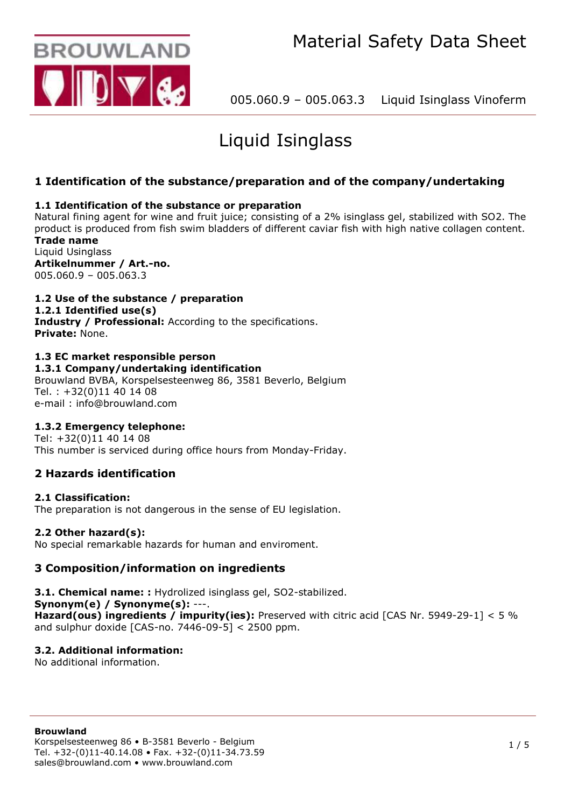

# Liquid Isinglass

# **1 Identification of the substance/preparation and of the company/undertaking**

# **1.1 Identification of the substance or preparation**

Natural fining agent for wine and fruit juice; consisting of a 2% isinglass gel, stabilized with SO2. The product is produced from fish swim bladders of different caviar fish with high native collagen content. **Trade name**

Liquid Usinglass **Artikelnummer / Art.-no.** 005.060.9 – 005.063.3

# **1.2 Use of the substance / preparation**

## **1.2.1 Identified use(s)**

**Industry / Professional:** According to the specifications. **Private:** None.

#### **1.3 EC market responsible person 1.3.1 Company/undertaking identification**

Brouwland BVBA, Korspelsesteenweg 86, 3581 Beverlo, Belgium Tel. : +32(0)11 40 14 08 e-mail : info@brouwland.com

# **1.3.2 Emergency telephone:**

Tel: +32(0)11 40 14 08 This number is serviced during office hours from Monday-Friday.

# **2 Hazards identification**

# **2.1 Classification:**

The preparation is not dangerous in the sense of EU legislation.

## **2.2 Other hazard(s):**

No special remarkable hazards for human and enviroment.

# **3 Composition/information on ingredients**

**3.1. Chemical name: :** Hydrolized isinglass gel, SO2-stabilized.

# **Synonym(e) / Synonyme(s):** ---.

**Hazard(ous) ingredients / impurity(ies):** Preserved with citric acid [CAS Nr. 5949-29-1] < 5 % and sulphur doxide  $[CAS-no. 7446-09-5] < 2500$  ppm.

# **3.2. Additional information:**

No additional information.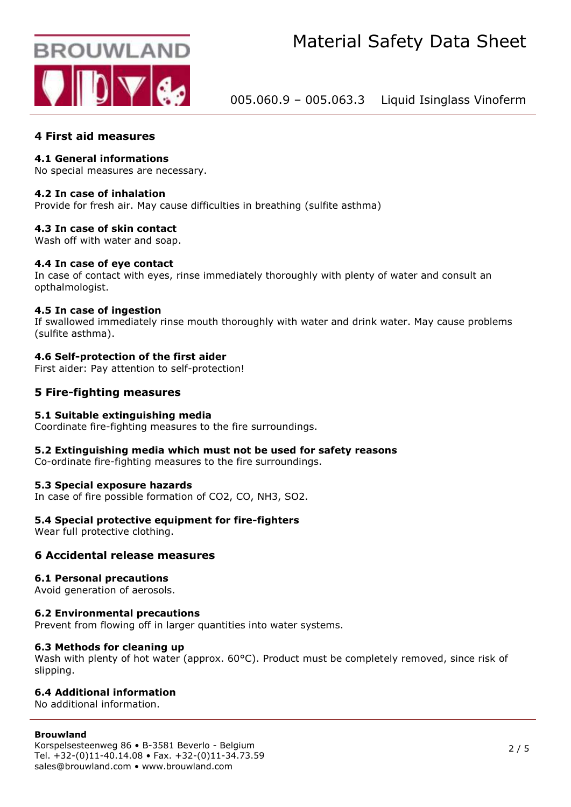

# **4 First aid measures**

## **4.1 General informations**

No special measures are necessary.

#### **4.2 In case of inhalation**

Provide for fresh air. May cause difficulties in breathing (sulfite asthma)

## **4.3 In case of skin contact**

Wash off with water and soap.

## **4.4 In case of eye contact**

In case of contact with eyes, rinse immediately thoroughly with plenty of water and consult an opthalmologist.

## **4.5 In case of ingestion**

If swallowed immediately rinse mouth thoroughly with water and drink water. May cause problems (sulfite asthma).

## **4.6 Self-protection of the first aider**

First aider: Pay attention to self-protection!

# **5 Fire-fighting measures**

#### **5.1 Suitable extinguishing media**

Coordinate fire-fighting measures to the fire surroundings.

#### **5.2 Extinguishing media which must not be used for safety reasons**

Co-ordinate fire-fighting measures to the fire surroundings.

#### **5.3 Special exposure hazards**

In case of fire possible formation of CO2, CO, NH3, SO2.

## **5.4 Special protective equipment for fire-fighters**

Wear full protective clothing.

## **6 Accidental release measures**

#### **6.1 Personal precautions**

Avoid generation of aerosols.

## **6.2 Environmental precautions**

Prevent from flowing off in larger quantities into water systems.

#### **6.3 Methods for cleaning up**

Wash with plenty of hot water (approx. 60°C). Product must be completely removed, since risk of slipping.

## **6.4 Additional information**

No additional information.

#### **Brouwland**

Korspelsesteenweg 86 • B-3581 Beverlo - Belgium Tel. +32-(0)11-40.14.08 • Fax. +32-(0)11-34.73.59 sales@brouwland.com • www.brouwland.com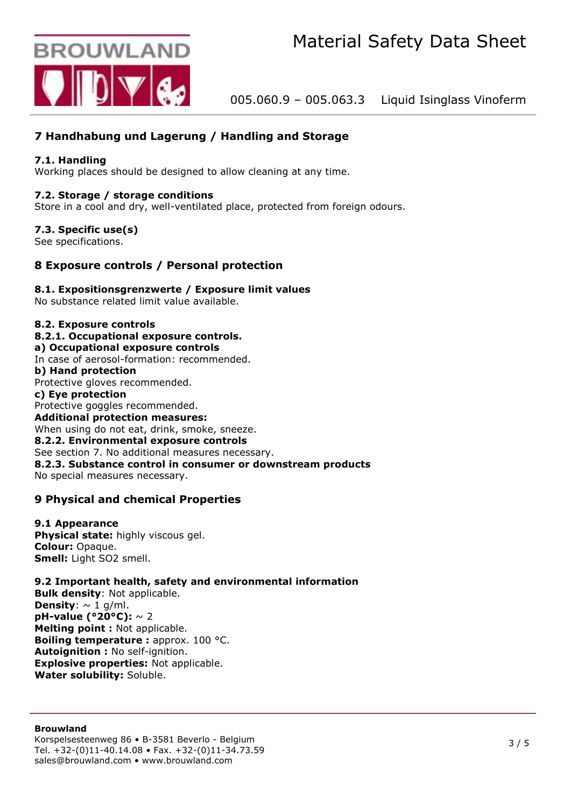

# **7 Handhabung und Lagerung / Handling and Storage**

# **7.1. Handling**

Working places should be designed to allow cleaning at any time.

## **7.2. Storage / storage conditions**

Store in a cool and dry, well-ventilated place, protected from foreign odours.

## **7.3. Specific use(s)**

See specifications.

# **8 Exposure controls / Personal protection**

## **8.1. Expositionsgrenzwerte / Exposure limit values**

No substance related limit value available.

## **8.2. Exposure controls**

- **8.2.1. Occupational exposure controls.**
- **a) Occupational exposure controls**
- In case of aerosol-formation: recommended.

**b) Hand protection** Protective gloves recommended.

# **c) Eye protection**

Protective goggles recommended. **Additional protection measures:** When using do not eat, drink, smoke, sneeze. **8.2.2. Environmental exposure controls** See section 7. No additional measures necessary. **8.2.3. Substance control in consumer or downstream products** No special measures necessary.

# **9 Physical and chemical Properties**

#### **9.1 Appearance**

**Physical state:** highly viscous gel. **Colour:** Opaque. **Smell:** Light SO2 smell.

## **9.2 Important health, safety and environmental information**

**Bulk density**: Not applicable. **Density**:  $\sim 1$  g/ml. **pH-value (°20°C):** ~ 2 **Melting point :** Not applicable. **Boiling temperature :** approx. 100 °C. **Autoignition :** No self-ignition. **Explosive properties:** Not applicable. **Water solubility:** Soluble.

#### **Brouwland**

Korspelsesteenweg 86 • B-3581 Beverlo - Belgium Tel. +32-(0)11-40.14.08 • Fax. +32-(0)11-34.73.59 sales@brouwland.com • www.brouwland.com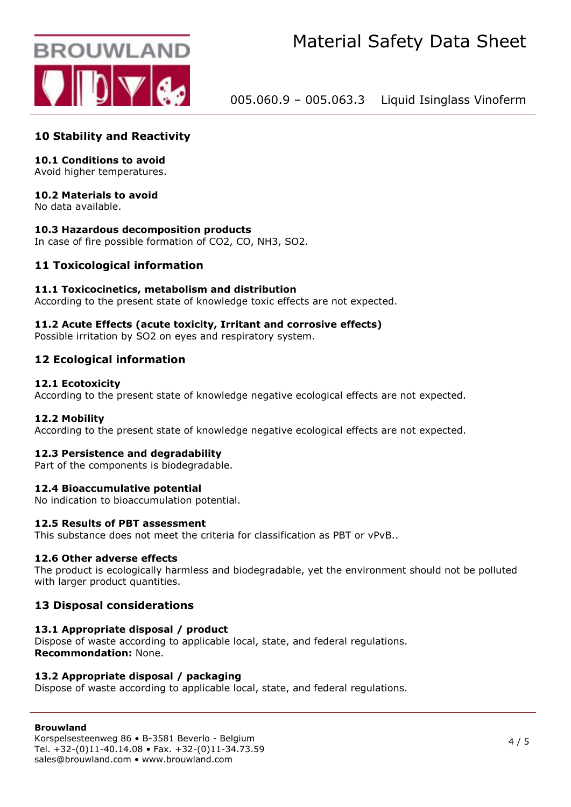

# **10 Stability and Reactivity**

## **10.1 Conditions to avoid**

Avoid higher temperatures.

## **10.2 Materials to avoid**

No data available.

## **10.3 Hazardous decomposition products**

In case of fire possible formation of CO2, CO, NH3, SO2.

## **11 Toxicological information**

#### **11.1 Toxicocinetics, metabolism and distribution**

According to the present state of knowledge toxic effects are not expected.

#### **11.2 Acute Effects (acute toxicity, Irritant and corrosive effects)**

Possible irritation by SO2 on eyes and respiratory system.

## **12 Ecological information**

#### **12.1 Ecotoxicity**

According to the present state of knowledge negative ecological effects are not expected.

#### **12.2 Mobility**

According to the present state of knowledge negative ecological effects are not expected.

#### **12.3 Persistence and degradability**

Part of the components is biodegradable.

#### **12.4 Bioaccumulative potential**

No indication to bioaccumulation potential.

#### **12.5 Results of PBT assessment**

This substance does not meet the criteria for classification as PBT or vPvB..

#### **12.6 Other adverse effects**

The product is ecologically harmless and biodegradable, yet the environment should not be polluted with larger product quantities.

## **13 Disposal considerations**

#### **13.1 Appropriate disposal / product**

Dispose of waste according to applicable local, state, and federal regulations. **Recommondation:** None.

#### **13.2 Appropriate disposal / packaging**

Dispose of waste according to applicable local, state, and federal regulations.

## **Brouwland**

Korspelsesteenweg 86 • B-3581 Beverlo - Belgium Tel. +32-(0)11-40.14.08 • Fax. +32-(0)11-34.73.59 sales@brouwland.com • www.brouwland.com